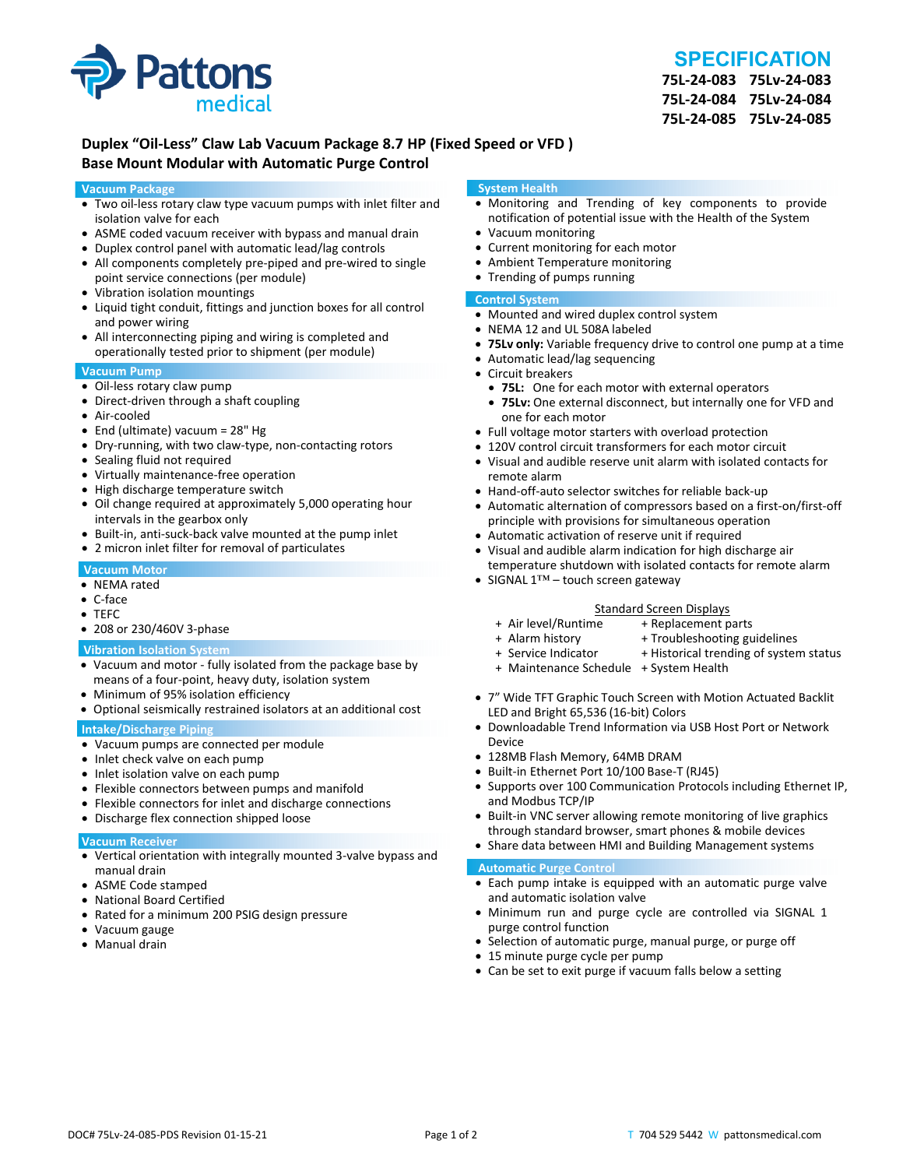

# **SPECIFICATION**

**75L‐24‐083 75Lv‐24‐083 75L‐24‐084 75Lv‐24‐084 75L‐24‐085 75Lv‐24‐085**

## **Duplex "Oil‐Less" Claw Lab Vacuum Package 8.7 HP (Fixed Speed or VFD ) Base Mount Modular with Automatic Purge Control**

#### **Vacuum Package**

- Two oil‐less rotary claw type vacuum pumps with inlet filter and isolation valve for each
- ASME coded vacuum receiver with bypass and manual drain
- Duplex control panel with automatic lead/lag controls
- All components completely pre-piped and pre-wired to single point service connections (per module)
- Vibration isolation mountings
- Liquid tight conduit, fittings and junction boxes for all control and power wiring
- All interconnecting piping and wiring is completed and operationally tested prior to shipment (per module)

#### **Vacuum Pump**

- Oil-less rotary claw pump
- Direct-driven through a shaft coupling
- Air‐cooled
- End (ultimate) vacuum = 28" Hg
- Dry-running, with two claw-type, non-contacting rotors
- Sealing fluid not required
- Virtually maintenance-free operation
- High discharge temperature switch
- Oil change required at approximately 5,000 operating hour intervals in the gearbox only
- Built-in, anti-suck-back valve mounted at the pump inlet
- 2 micron inlet filter for removal of particulates

#### **Vacuum Motor**

- NEMA rated
- C‐face
- TEFC
- 208 or 230/460V 3‐phase

#### **Vibration Isolation System**

- Vacuum and motor ‐ fully isolated from the package base by means of a four‐point, heavy duty, isolation system
- Minimum of 95% isolation efficiency
- Optional seismically restrained isolators at an additional cost

#### **Intake/Discharge Piping**

- Vacuum pumps are connected per module
- Inlet check valve on each pump
- Inlet isolation valve on each pump
- Flexible connectors between pumps and manifold
- Flexible connectors for inlet and discharge connections
- Discharge flex connection shipped loose

#### **Vacuum Receiver**

- Vertical orientation with integrally mounted 3‐valve bypass and manual drain
- ASME Code stamped
- National Board Certified
- Rated for a minimum 200 PSIG design pressure
- Vacuum gauge
- Manual drain

#### **System Health**

- Monitoring and Trending of key components to provide notification of potential issue with the Health of the System
- Vacuum monitoring
- Current monitoring for each motor
- Ambient Temperature monitoring
- Trending of pumps running

#### **Control System**

- Mounted and wired duplex control system
- NEMA 12 and UL 508A labeled
- **75Lv only:** Variable frequency drive to control one pump at a time
- Automatic lead/lag sequencing
- Circuit breakers
- **75L:** One for each motor with external operators
- **75Lv:** One external disconnect, but internally one for VFD and one for each motor
- Full voltage motor starters with overload protection
- 120V control circuit transformers for each motor circuit
- Visual and audible reserve unit alarm with isolated contacts for remote alarm
- Hand-off-auto selector switches for reliable back-up
- Automatic alternation of compressors based on a first-on/first-off principle with provisions for simultaneous operation
- Automatic activation of reserve unit if required
- Visual and audible alarm indication for high discharge air temperature shutdown with isolated contacts for remote alarm
- SIGNAL 1™ touch screen gateway

# Standard Screen Displays<br>Air level/Runtime + Replacement p +

- + Air level/Runtime + Replacement parts
- 
- + Troubleshooting guidelines
- + Service Indicator + Historical trending of system status
- + Maintenance Schedule + System Health
- 7" Wide TFT Graphic Touch Screen with Motion Actuated Backlit LED and Bright 65,536 (16‐bit) Colors
- Downloadable Trend Information via USB Host Port or Network Device
- 128MB Flash Memory, 64MB DRAM
- Built-in Ethernet Port 10/100 Base-T (RJ45)
- Supports over 100 Communication Protocols including Ethernet IP, and Modbus TCP/IP
- Built-in VNC server allowing remote monitoring of live graphics through standard browser, smart phones & mobile devices
- Share data between HMI and Building Management systems

#### **Automatic Purge Control**

- Each pump intake is equipped with an automatic purge valve and automatic isolation valve
- Minimum run and purge cycle are controlled via SIGNAL 1 purge control function
- Selection of automatic purge, manual purge, or purge off
- 15 minute purge cycle per pump
- Can be set to exit purge if vacuum falls below a setting